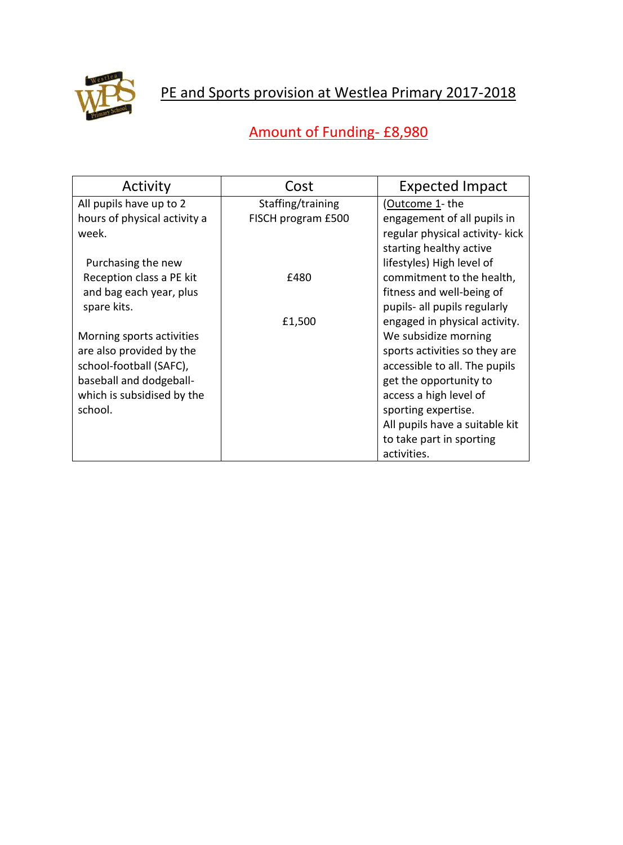

## PE and Sports provision at Westlea Primary 2017-2018

## Amount of Funding- £8,980

| Activity                     | Cost               | <b>Expected Impact</b>          |
|------------------------------|--------------------|---------------------------------|
| All pupils have up to 2      | Staffing/training  | (Outcome 1- the                 |
| hours of physical activity a | FISCH program £500 | engagement of all pupils in     |
| week.                        |                    | regular physical activity- kick |
|                              |                    | starting healthy active         |
| Purchasing the new           |                    | lifestyles) High level of       |
| Reception class a PE kit     | £480               | commitment to the health,       |
| and bag each year, plus      |                    | fitness and well-being of       |
| spare kits.                  |                    | pupils- all pupils regularly    |
|                              | £1,500             | engaged in physical activity.   |
| Morning sports activities    |                    | We subsidize morning            |
| are also provided by the     |                    | sports activities so they are   |
| school-football (SAFC),      |                    | accessible to all. The pupils   |
| baseball and dodgeball-      |                    | get the opportunity to          |
| which is subsidised by the   |                    | access a high level of          |
| school.                      |                    | sporting expertise.             |
|                              |                    | All pupils have a suitable kit  |
|                              |                    | to take part in sporting        |
|                              |                    | activities.                     |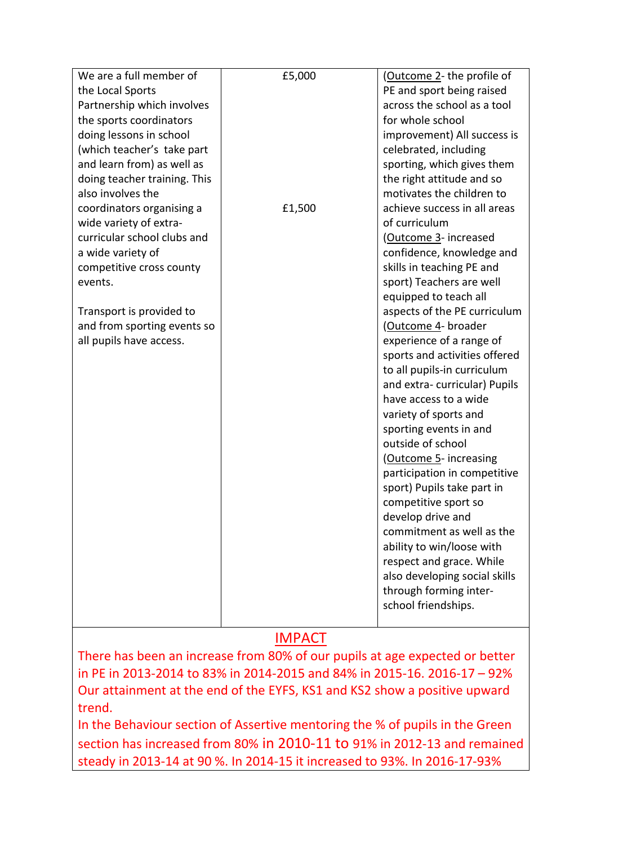| We are a full member of                                                     | £5,000 | (Outcome 2- the profile of    |  |
|-----------------------------------------------------------------------------|--------|-------------------------------|--|
| the Local Sports                                                            |        | PE and sport being raised     |  |
| Partnership which involves                                                  |        | across the school as a tool   |  |
| the sports coordinators                                                     |        | for whole school              |  |
| doing lessons in school                                                     |        | improvement) All success is   |  |
| (which teacher's take part                                                  |        | celebrated, including         |  |
| and learn from) as well as                                                  |        | sporting, which gives them    |  |
| doing teacher training. This                                                |        | the right attitude and so     |  |
| also involves the                                                           |        | motivates the children to     |  |
| coordinators organising a                                                   | £1,500 | achieve success in all areas  |  |
| wide variety of extra-                                                      |        | of curriculum                 |  |
| curricular school clubs and                                                 |        | (Outcome 3- increased         |  |
| a wide variety of                                                           |        | confidence, knowledge and     |  |
| competitive cross county                                                    |        | skills in teaching PE and     |  |
| events.                                                                     |        | sport) Teachers are well      |  |
|                                                                             |        | equipped to teach all         |  |
| Transport is provided to                                                    |        | aspects of the PE curriculum  |  |
| and from sporting events so                                                 |        | (Outcome 4- broader           |  |
| all pupils have access.                                                     |        | experience of a range of      |  |
|                                                                             |        | sports and activities offered |  |
|                                                                             |        | to all pupils-in curriculum   |  |
|                                                                             |        | and extra-curricular) Pupils  |  |
|                                                                             |        | have access to a wide         |  |
|                                                                             |        | variety of sports and         |  |
|                                                                             |        | sporting events in and        |  |
|                                                                             |        | outside of school             |  |
|                                                                             |        | (Outcome 5- increasing        |  |
|                                                                             |        | participation in competitive  |  |
|                                                                             |        | sport) Pupils take part in    |  |
|                                                                             |        | competitive sport so          |  |
|                                                                             |        | develop drive and             |  |
|                                                                             |        | commitment as well as the     |  |
|                                                                             |        | ability to win/loose with     |  |
|                                                                             |        | respect and grace. While      |  |
|                                                                             |        | also developing social skills |  |
|                                                                             |        | through forming inter-        |  |
|                                                                             |        | school friendships.           |  |
|                                                                             |        |                               |  |
|                                                                             |        |                               |  |
| <b>IMPACT</b>                                                               |        |                               |  |
| There has been an increase from 80% of our pupils at age expected or better |        |                               |  |

There has been an increase from 80% of our pupils at age expected or better in PE in 2013-2014 to 83% in 2014-2015 and 84% in 2015-16. 2016-17 – 92% Our attainment at the end of the EYFS, KS1 and KS2 show a positive upward trend.

In the Behaviour section of Assertive mentoring the % of pupils in the Green section has increased from 80% in 2010-11 to 91% in 2012-13 and remained steady in 2013-14 at 90 %. In 2014-15 it increased to 93%. In 2016-17-93%